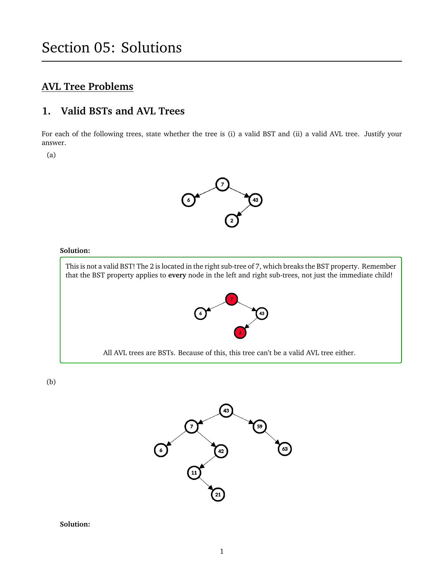# **AVL Tree Problems**

# **1. Valid BSTs and AVL Trees**

For each of the following trees, state whether the tree is (i) a valid BST and (ii) a valid AVL tree. Justify your answer.

(a)



#### **Solution:**

This is not a valid BST! The 2 is located in the right sub-tree of 7, which breaks the BST property. Remember that the BST property applies to **every** node in the left and right sub-trees, not just the immediate child!



All AVL trees are BSTs. Because of this, this tree can't be a valid AVL tree either.

(b)

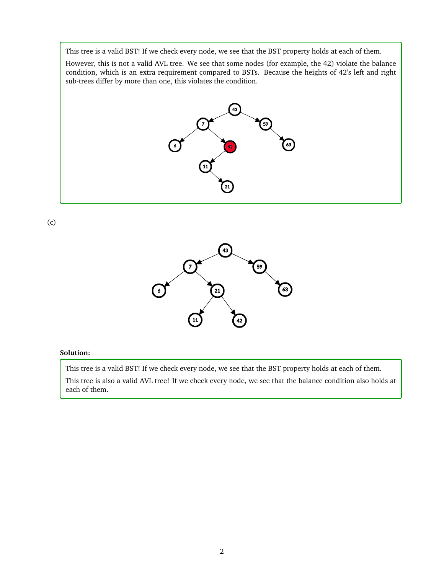This tree is a valid BST! If we check every node, we see that the BST property holds at each of them.

However, this is not a valid AVL tree. We see that some nodes (for example, the 42) violate the balance condition, which is an extra requirement compared to BSTs. Because the heights of 42's left and right sub-trees differ by more than one, this violates the condition.



(c)



#### **Solution:**

This tree is a valid BST! If we check every node, we see that the BST property holds at each of them. This tree is also a valid AVL tree! If we check every node, we see that the balance condition also holds at each of them.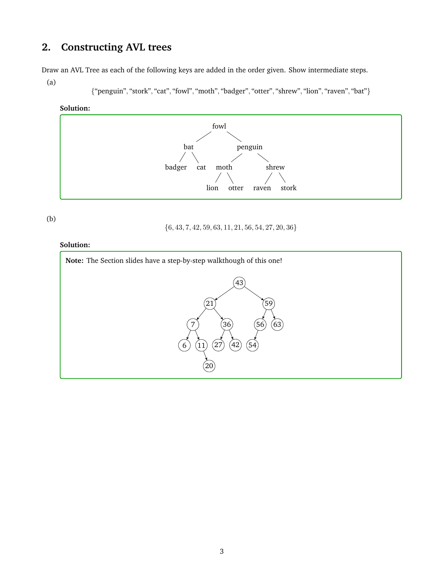# **2. Constructing AVL trees**

Draw an AVL Tree as each of the following keys are added in the order given. Show intermediate steps.

(a)

{"penguin", "stork", "cat", "fowl", "moth", "badger", "otter", "shrew", "lion", "raven", "bat"}

#### **Solution:**



(b)

 $\{6, 43, 7, 42, 59, 63, 11, 21, 56, 54, 27, 20, 36\}$ 

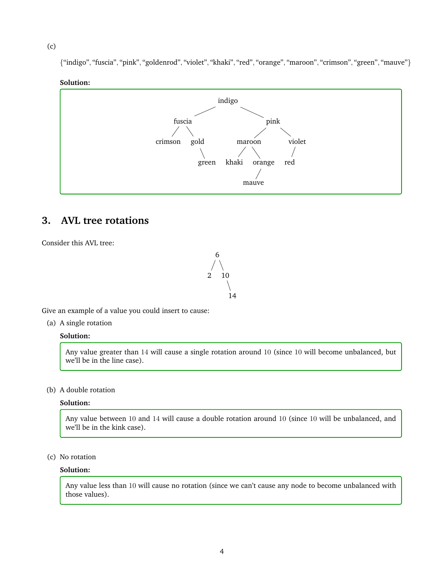(c)

{"indigo", "fuscia", "pink", "goldenrod", "violet", "khaki", "red", "orange", "maroon", "crimson", "green", "mauve"}

#### **Solution:**



## **3. AVL tree rotations**



Consider this AVL tree:

Give an example of a value you could insert to cause:

(a) A single rotation

## **Solution:**

Any value greater than 14 will cause a single rotation around 10 (since 10 will become unbalanced, but we'll be in the line case).

(b) A double rotation

### **Solution:**

Any value between 10 and 14 will cause a double rotation around 10 (since 10 will be unbalanced, and we'll be in the kink case).

(c) No rotation

#### **Solution:**

Any value less than 10 will cause no rotation (since we can't cause any node to become unbalanced with those values).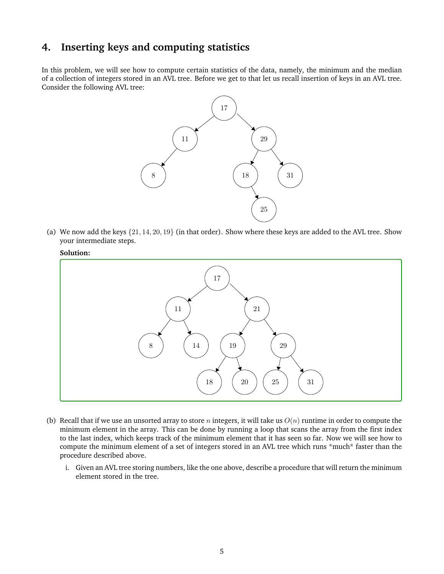## **4. Inserting keys and computing statistics**

In this problem, we will see how to compute certain statistics of the data, namely, the minimum and the median of a collection of integers stored in an AVL tree. Before we get to that let us recall insertion of keys in an AVL tree. Consider the following AVL tree:



(a) We now add the keys  $\{21, 14, 20, 19\}$  (in that order). Show where these keys are added to the AVL tree. Show your intermediate steps.





- (b) Recall that if we use an unsorted array to store n integers, it will take us  $O(n)$  runtime in order to compute the minimum element in the array. This can be done by running a loop that scans the array from the first index to the last index, which keeps track of the minimum element that it has seen so far. Now we will see how to compute the minimum element of a set of integers stored in an AVL tree which runs \*much\* faster than the procedure described above.
	- i. Given an AVL tree storing numbers, like the one above, describe a procedure that will return the minimum element stored in the tree.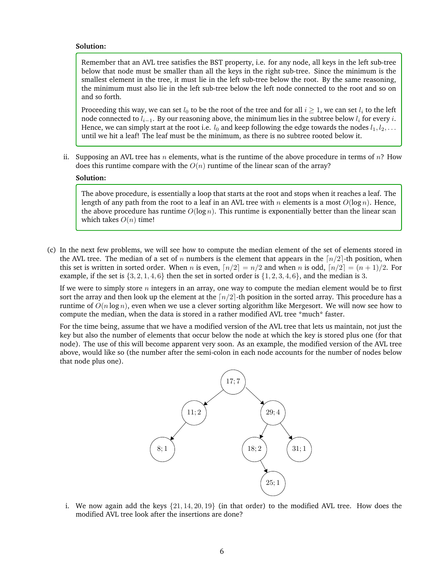#### **Solution:**

Remember that an AVL tree satisfies the BST property, i.e. for any node, all keys in the left sub-tree below that node must be smaller than all the keys in the right sub-tree. Since the minimum is the smallest element in the tree, it must lie in the left sub-tree below the root. By the same reasoning, the minimum must also lie in the left sub-tree below the left node connected to the root and so on and so forth.

Proceeding this way, we can set  $l_0$  to be the root of the tree and for all  $i \geq 1$ , we can set  $l_i$  to the left node connected to  $l_{i-1}$ . By our reasoning above, the minimum lies in the subtree below  $l_i$  for every  $i$ . Hence, we can simply start at the root i.e.  $l_0$  and keep following the edge towards the nodes  $l_1, l_2, \ldots$ until we hit a leaf! The leaf must be the minimum, as there is no subtree rooted below it.

ii. Supposing an AVL tree has n elements, what is the runtime of the above procedure in terms of  $n$ ? How does this runtime compare with the  $O(n)$  runtime of the linear scan of the array?

#### **Solution:**

The above procedure, is essentially a loop that starts at the root and stops when it reaches a leaf. The length of any path from the root to a leaf in an AVL tree with n elements is a most  $O(\log n)$ . Hence, the above procedure has runtime  $O(\log n)$ . This runtime is exponentially better than the linear scan which takes  $O(n)$  time!

(c) In the next few problems, we will see how to compute the median element of the set of elements stored in the AVL tree. The median of a set of n numbers is the element that appears in the  $\lceil n/2 \rceil$ -th position, when this set is written in sorted order. When n is even,  $\lceil n/2 \rceil = n/2$  and when n is odd,  $\lceil n/2 \rceil = (n + 1)/2$ . For example, if the set is  $\{3, 2, 1, 4, 6\}$  then the set in sorted order is  $\{1, 2, 3, 4, 6\}$ , and the median is 3.

If we were to simply store  $n$  integers in an array, one way to compute the median element would be to first sort the array and then look up the element at the  $\lceil n/2 \rceil$ -th position in the sorted array. This procedure has a runtime of  $O(n \log n)$ , even when we use a clever sorting algorithm like Mergesort. We will now see how to compute the median, when the data is stored in a rather modified AVL tree \*much\* faster.

For the time being, assume that we have a modified version of the AVL tree that lets us maintain, not just the key but also the number of elements that occur below the node at which the key is stored plus one (for that node). The use of this will become apparent very soon. As an example, the modified version of the AVL tree above, would like so (the number after the semi-colon in each node accounts for the number of nodes below that node plus one).



i. We now again add the keys  $\{21, 14, 20, 19\}$  (in that order) to the modified AVL tree. How does the modified AVL tree look after the insertions are done?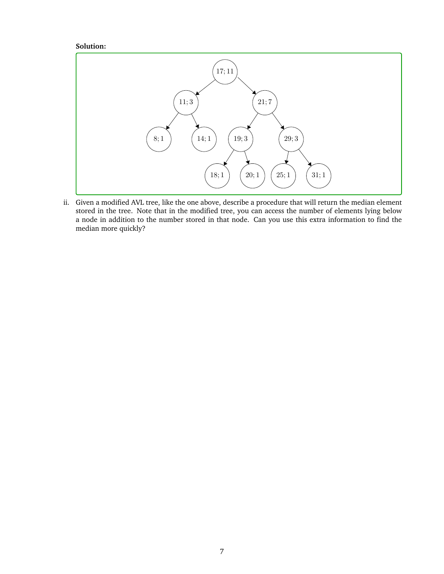#### **Solution:**



ii. Given a modified AVL tree, like the one above, describe a procedure that will return the median element stored in the tree. Note that in the modified tree, you can access the number of elements lying below a node in addition to the number stored in that node. Can you use this extra information to find the median more quickly?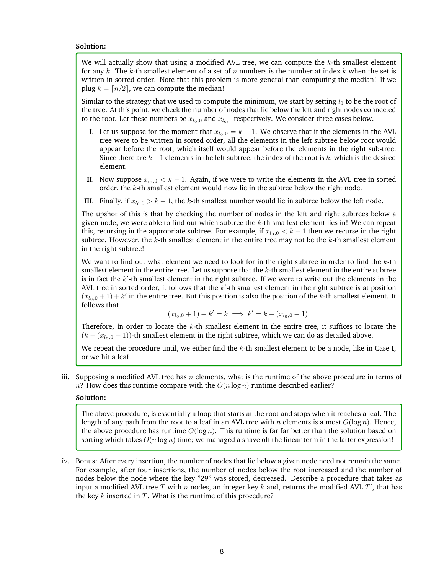#### **Solution:**

We will actually show that using a modified AVL tree, we can compute the  $k$ -th smallest element for any k. The k-th smallest element of a set of n numbers is the number at index k when the set is written in sorted order. Note that this problem is more general than computing the median! If we plug  $k = \lfloor n/2 \rfloor$ , we can compute the median!

Similar to the strategy that we used to compute the minimum, we start by setting  $l_0$  to be the root of the tree. At this point, we check the number of nodes that lie below the left and right nodes connected to the root. Let these numbers be  $x_{l_0,0}$  and  $x_{l_0,1}$  respectively. We consider three cases below.

- **I**. Let us suppose for the moment that  $x_{l_0,0} = k 1$ . We observe that if the elements in the AVL tree were to be written in sorted order, all the elements in the left subtree below root would appear before the root, which itself would appear before the elements in the right sub-tree. Since there are  $k - 1$  elements in the left subtree, the index of the root is k, which is the desired element.
- **II**. Now suppose  $x_{l_0,0} < k 1$ . Again, if we were to write the elements in the AVL tree in sorted order, the k-th smallest element would now lie in the subtree below the right node.
- **III**. Finally, if  $x_{l_0,0} > k 1$ , the k-th smallest number would lie in subtree below the left node.

The upshot of this is that by checking the number of nodes in the left and right subtrees below a given node, we were able to find out which subtree the  $k$ -th smallest element lies in! We can repeat this, recursing in the appropriate subtree. For example, if  $x_{l_0,0} < k - 1$  then we recurse in the right subtree. However, the  $k$ -th smallest element in the entire tree may not be the  $k$ -th smallest element in the right subtree!

We want to find out what element we need to look for in the right subtree in order to find the  $k$ -th smallest element in the entire tree. Let us suppose that the  $k$ -th smallest element in the entire subtree is in fact the  $k'$ -th smallest element in the right subtree. If we were to write out the elements in the AVL tree in sorted order, it follows that the  $k'$ -th smallest element in the right subtree is at position  $(x_{l_0,0} + 1) + k'$  in the entire tree. But this position is also the position of the k-th smallest element. It follows that

$$
(x_{l_0,0} + 1) + k' = k \implies k' = k - (x_{l_0,0} + 1).
$$

Therefore, in order to locate the  $k$ -th smallest element in the entire tree, it suffices to locate the  $(k - (x_{l_0,0} + 1))$ -th smallest element in the right subtree, which we can do as detailed above.

We repeat the procedure until, we either find the k-th smallest element to be a node, like in Case **I**, or we hit a leaf.

iii. Supposing a modified AVL tree has n elements, what is the runtime of the above procedure in terms of  $n$ ? How does this runtime compare with the  $O(n \log n)$  runtime described earlier?

#### **Solution:**

The above procedure, is essentially a loop that starts at the root and stops when it reaches a leaf. The length of any path from the root to a leaf in an AVL tree with n elements is a most  $O(\log n)$ . Hence, the above procedure has runtime  $O(\log n)$ . This runtime is far far better than the solution based on sorting which takes  $O(n \log n)$  time; we managed a shave off the linear term in the latter expression!

iv. Bonus: After every insertion, the number of nodes that lie below a given node need not remain the same. For example, after four insertions, the number of nodes below the root increased and the number of nodes below the node where the key "29" was stored, decreased. Describe a procedure that takes as input a modified AVL tree T with n nodes, an integer key k and, returns the modified AVL T', that has the key  $k$  inserted in  $T$ . What is the runtime of this procedure?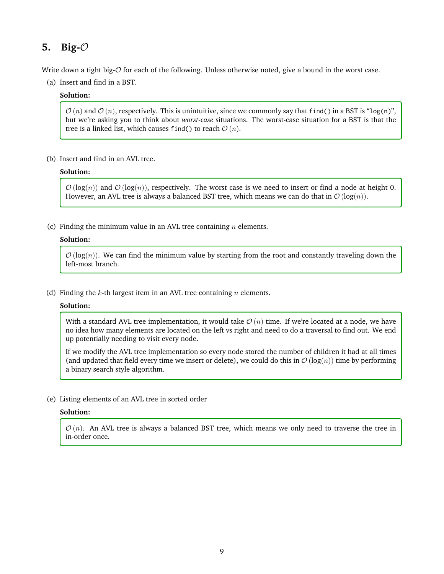## **5. Big-**O

Write down a tight big- $\mathcal O$  for each of the following. Unless otherwise noted, give a bound in the worst case.

(a) Insert and find in a BST.

#### **Solution:**

 $\mathcal{O}(n)$  and  $\mathcal{O}(n)$ , respectively. This is unintuitive, since we commonly say that find() in a BST is "log(n)", but we're asking you to think about *worst-case* situations. The worst-case situation for a BST is that the tree is a linked list, which causes find() to reach  $\mathcal{O}(n)$ .

(b) Insert and find in an AVL tree.

#### **Solution:**

 $\mathcal{O}(\log(n))$  and  $\mathcal{O}(\log(n))$ , respectively. The worst case is we need to insert or find a node at height 0. However, an AVL tree is always a balanced BST tree, which means we can do that in  $\mathcal{O}(\log(n))$ .

(c) Finding the minimum value in an AVL tree containing  $n$  elements.

#### **Solution:**

 $\mathcal{O}(\log(n))$ . We can find the minimum value by starting from the root and constantly traveling down the left-most branch.

(d) Finding the k-th largest item in an AVL tree containing  $n$  elements.

#### **Solution:**

With a standard AVL tree implementation, it would take  $\mathcal{O}(n)$  time. If we're located at a node, we have no idea how many elements are located on the left vs right and need to do a traversal to find out. We end up potentially needing to visit every node.

If we modify the AVL tree implementation so every node stored the number of children it had at all times (and updated that field every time we insert or delete), we could do this in  $\mathcal{O}(log(n))$  time by performing a binary search style algorithm.

(e) Listing elements of an AVL tree in sorted order

### **Solution:**

 $\mathcal{O}(n)$ . An AVL tree is always a balanced BST tree, which means we only need to traverse the tree in in-order once.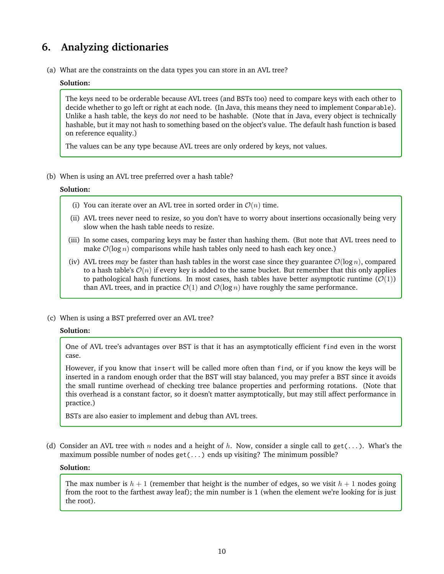# **6. Analyzing dictionaries**

(a) What are the constraints on the data types you can store in an AVL tree?

#### **Solution:**

The keys need to be orderable because AVL trees (and BSTs too) need to compare keys with each other to decide whether to go left or right at each node. (In Java, this means they need to implement Comparable). Unlike a hash table, the keys do *not* need to be hashable. (Note that in Java, every object is technically hashable, but it may not hash to something based on the object's value. The default hash function is based on reference equality.)

The values can be any type because AVL trees are only ordered by keys, not values.

(b) When is using an AVL tree preferred over a hash table?

#### **Solution:**

- (i) You can iterate over an AVL tree in sorted order in  $\mathcal{O}(n)$  time.
- (ii) AVL trees never need to resize, so you don't have to worry about insertions occasionally being very slow when the hash table needs to resize.
- (iii) In some cases, comparing keys may be faster than hashing them. (But note that AVL trees need to make  $\mathcal{O}(\log n)$  comparisons while hash tables only need to hash each key once.)
- (iv) AVL trees *may* be faster than hash tables in the worst case since they guarantee  $\mathcal{O}(\log n)$ , compared to a hash table's  $\mathcal{O}(n)$  if every key is added to the same bucket. But remember that this only applies to pathological hash functions. In most cases, hash tables have better asymptotic runtime  $(\mathcal{O}(1))$ than AVL trees, and in practice  $\mathcal{O}(1)$  and  $\mathcal{O}(\log n)$  have roughly the same performance.
- (c) When is using a BST preferred over an AVL tree?

#### **Solution:**

One of AVL tree's advantages over BST is that it has an asymptotically efficient find even in the worst case.

However, if you know that insert will be called more often than find, or if you know the keys will be inserted in a random enough order that the BST will stay balanced, you may prefer a BST since it avoids the small runtime overhead of checking tree balance properties and performing rotations. (Note that this overhead is a constant factor, so it doesn't matter asymptotically, but may still affect performance in practice.)

BSTs are also easier to implement and debug than AVL trees.

(d) Consider an AVL tree with n nodes and a height of h. Now, consider a single call to get(...). What's the maximum possible number of nodes get(...) ends up visiting? The minimum possible?

#### **Solution:**

The max number is  $h + 1$  (remember that height is the number of edges, so we visit  $h + 1$  nodes going from the root to the farthest away leaf); the min number is 1 (when the element we're looking for is just the root).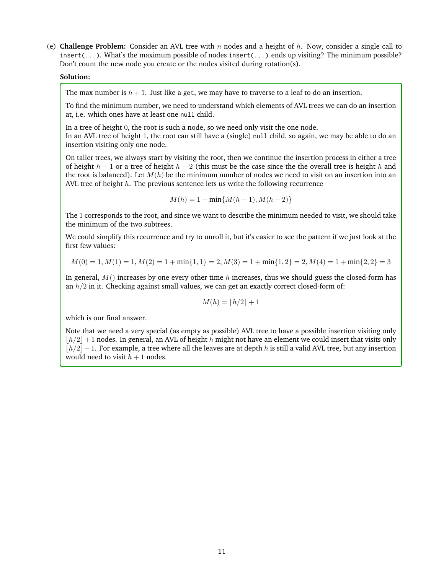(e) **Challenge Problem:** Consider an AVL tree with n nodes and a height of h. Now, consider a single call to insert(...). What's the maximum possible of nodes insert(...) ends up visiting? The minimum possible? Don't count the new node you create or the nodes visited during rotation(s).

#### **Solution:**

The max number is  $h + 1$ . Just like a get, we may have to traverse to a leaf to do an insertion.

To find the minimum number, we need to understand which elements of AVL trees we can do an insertion at, i.e. which ones have at least one null child.

In a tree of height 0, the root is such a node, so we need only visit the one node. In an AVL tree of height 1, the root can still have a (single) null child, so again, we may be able to do an insertion visiting only one node.

On taller trees, we always start by visiting the root, then we continue the insertion process in either a tree of height  $h-1$  or a tree of height  $h-2$  (this must be the case since the the overall tree is height h and the root is balanced). Let  $M(h)$  be the minimum number of nodes we need to visit on an insertion into an AVL tree of height  $h$ . The previous sentence lets us write the following recurrence

$$
M(h) = 1 + \min\{M(h-1), M(h-2)\}
$$

The 1 corresponds to the root, and since we want to describe the minimum needed to visit, we should take the minimum of the two subtrees.

We could simplify this recurrence and try to unroll it, but it's easier to see the pattern if we just look at the first few values:

$$
M(0) = 1, M(1) = 1, M(2) = 1 + min{1, 1} = 2, M(3) = 1 + min{1, 2} = 2, M(4) = 1 + min{2, 2} = 3
$$

In general,  $M()$  increases by one every other time h increases, thus we should guess the closed-form has an  $h/2$  in it. Checking against small values, we can get an exactly correct closed-form of:

$$
M(h) = \lfloor h/2 \rfloor + 1
$$

which is our final answer.

Note that we need a very special (as empty as possible) AVL tree to have a possible insertion visiting only  $|h/2|+1$  nodes. In general, an AVL of height h might not have an element we could insert that visits only  $|h/2|+1$ . For example, a tree where all the leaves are at depth h is still a valid AVL tree, but any insertion would need to visit  $h + 1$  nodes.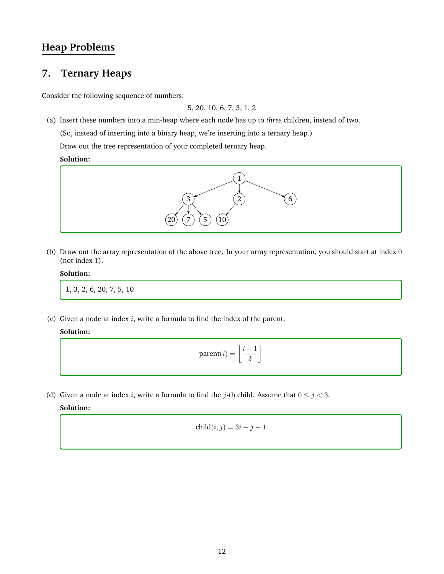# **Heap Problems**

# **7. Ternary Heaps**

Consider the following sequence of numbers:

5, 20, 10, 6, 7, 3, 1, 2

(a) Insert these numbers into a min-heap where each node has up to *three* children, instead of two.

(So, instead of inserting into a binary heap, we're inserting into a ternary heap.)

Draw out the tree representation of your completed ternary heap.

### **Solution:**



(b) Draw out the array representation of the above tree. In your array representation, you should start at index 0 (not index 1).

#### **Solution:**

1, 3, 2, 6, 20, 7, 5, 10

(c) Given a node at index  $i$ , write a formula to find the index of the parent.

### **Solution:**

$$
\text{parent}(i) = \left\lfloor \frac{i-1}{3} \right\rfloor
$$

(d) Given a node at index i, write a formula to find the j-th child. Assume that  $0 \le j < 3$ .

$$
child(i,j) = 3i + j + 1
$$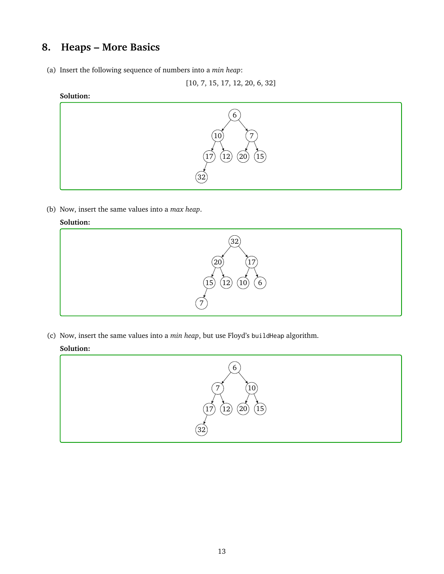# **8. Heaps – More Basics**

(a) Insert the following sequence of numbers into a *min heap*:

[10, 7, 15, 17, 12, 20, 6, 32]

### **Solution:**



(b) Now, insert the same values into a *max heap*.

### **Solution:**



(c) Now, insert the same values into a *min heap*, but use Floyd's buildHeap algorithm.

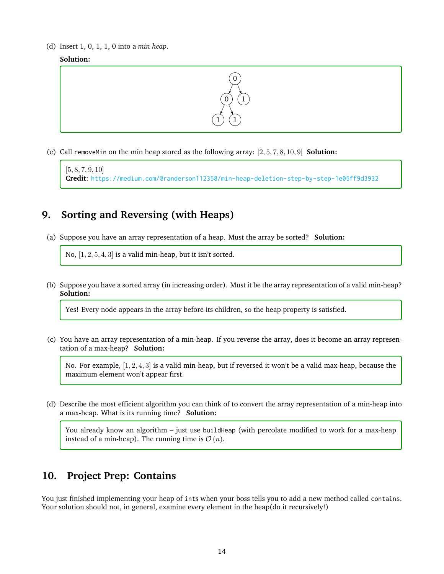(d) Insert 1, 0, 1, 1, 0 into a *min heap*.





(e) Call removeMin on the min heap stored as the following array: [2, 5, 7, 8, 10, 9] **Solution:**

```
[5, 8, 7, 9, 10]
Credit: https://medium.com/@randerson112358/min-heap-deletion-step-by-step-1e05ff9d3932
```
# **9. Sorting and Reversing (with Heaps)**

(a) Suppose you have an array representation of a heap. Must the array be sorted? **Solution:**

No,  $[1, 2, 5, 4, 3]$  is a valid min-heap, but it isn't sorted.

(b) Suppose you have a sorted array (in increasing order). Must it be the array representation of a valid min-heap? **Solution:**

Yes! Every node appears in the array before its children, so the heap property is satisfied.

(c) You have an array representation of a min-heap. If you reverse the array, does it become an array representation of a max-heap? **Solution:**

No. For example, [1, 2, 4, 3] is a valid min-heap, but if reversed it won't be a valid max-heap, because the maximum element won't appear first.

(d) Describe the most efficient algorithm you can think of to convert the array representation of a min-heap into a max-heap. What is its running time? **Solution:**

You already know an algorithm – just use buildHeap (with percolate modified to work for a max-heap instead of a min-heap). The running time is  $\mathcal{O}(n)$ .

# **10. Project Prep: Contains**

You just finished implementing your heap of ints when your boss tells you to add a new method called contains. Your solution should not, in general, examine every element in the heap(do it recursively!)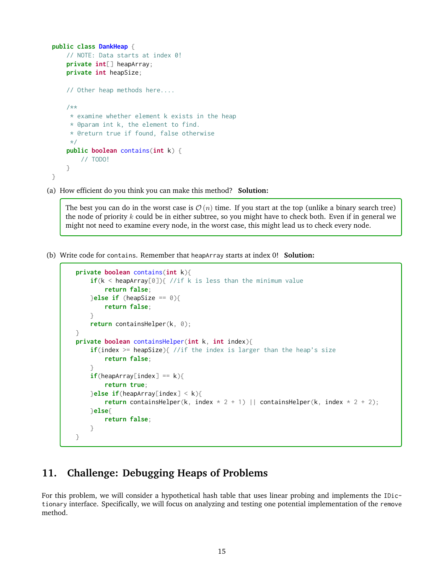```
public class DankHeap {
    // NOTE: Data starts at index 0!
    private int[] heapArray;
    private int heapSize;
    // Other heap methods here....
    /**
     * examine whether element k exists in the heap
     * @param int k, the element to find.
     * @return true if found, false otherwise
     */
    public boolean contains(int k) {
       // TODO!
    }
}
```
(a) How efficient do you think you can make this method? **Solution:**

The best you can do in the worst case is  $\mathcal{O}(n)$  time. If you start at the top (unlike a binary search tree) the node of priority  $k$  could be in either subtree, so you might have to check both. Even if in general we might not need to examine every node, in the worst case, this might lead us to check every node.

(b) Write code for contains. Remember that heapArray starts at index 0! **Solution:**

```
private boolean contains(int k){
    if(k < heapArray[0]){ //if k is less than the minimum value
        return false;
    }else if (heapSize == 0){
        return false;
    }
    return containsHelper(k, 0);
}
private boolean containsHelper(int k, int index){
    if(index >= heapSize){ //if the index is larger than the heap's size
        return false;
    }
    if(heapArray[index] == k)return true;
    }else if(heapArray[index] < k){
        return containsHelper(k, index * 2 + 1) || containsHelper(k, index * 2 + 2);
    }else{
        return false;
    }
}
```
## **11. Challenge: Debugging Heaps of Problems**

For this problem, we will consider a hypothetical hash table that uses linear probing and implements the IDictionary interface. Specifically, we will focus on analyzing and testing one potential implementation of the remove method.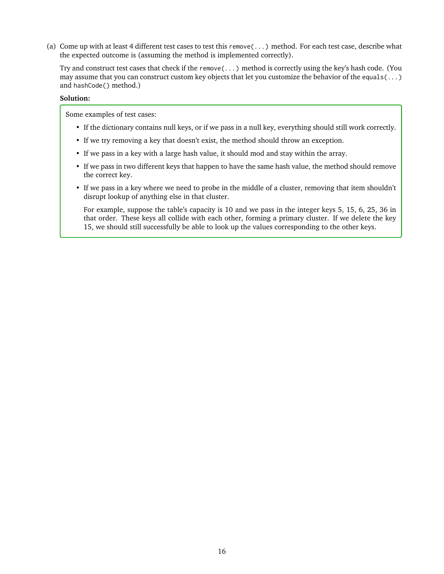(a) Come up with at least 4 different test cases to test this remove(...) method. For each test case, describe what the expected outcome is (assuming the method is implemented correctly).

Try and construct test cases that check if the remove(...) method is correctly using the key's hash code. (You may assume that you can construct custom key objects that let you customize the behavior of the equals( $\dots$ ) and hashCode() method.)

#### **Solution:**

Some examples of test cases:

- If the dictionary contains null keys, or if we pass in a null key, everything should still work correctly.
- If we try removing a key that doesn't exist, the method should throw an exception.
- If we pass in a key with a large hash value, it should mod and stay within the array.
- If we pass in two different keys that happen to have the same hash value, the method should remove the correct key.
- If we pass in a key where we need to probe in the middle of a cluster, removing that item shouldn't disrupt lookup of anything else in that cluster.

For example, suppose the table's capacity is 10 and we pass in the integer keys 5, 15, 6, 25, 36 in that order. These keys all collide with each other, forming a primary cluster. If we delete the key 15, we should still successfully be able to look up the values corresponding to the other keys.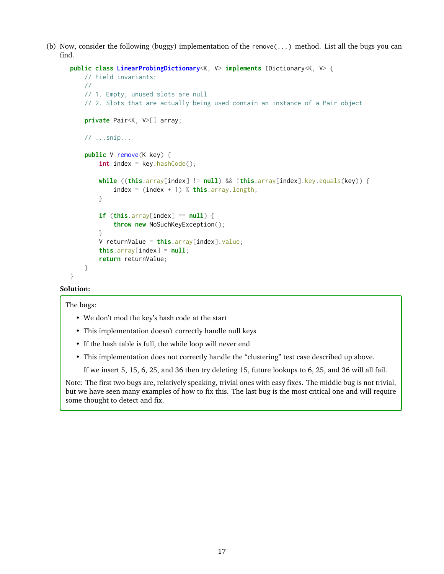(b) Now, consider the following (buggy) implementation of the remove(...) method. List all the bugs you can find.

```
public class LinearProbingDictionary<K, V> implements IDictionary<K, V> {
   // Field invariants:
   //
   // 1. Empty, unused slots are null
    // 2. Slots that are actually being used contain an instance of a Pair object
    private Pair<K, V>[] array;
   // ...snip...
    public V remove(K key) {
        int index = key.hashCode();
        while ((this.array[index] != null) && !this.array[index].key.equals(key)) {
            index = (index + 1) % this.array.length;
        }
        if (this.array[index] == null) {
            throw new NoSuchKeyException();
        }
        V returnValue = this.array[index].value;
        this.array[index] = null;return returnValue;
   }
}
```
#### **Solution:**

The bugs:

- We don't mod the key's hash code at the start
- This implementation doesn't correctly handle null keys
- If the hash table is full, the while loop will never end
- This implementation does not correctly handle the "clustering" test case described up above.

If we insert 5, 15, 6, 25, and 36 then try deleting 15, future lookups to 6, 25, and 36 will all fail.

Note: The first two bugs are, relatively speaking, trivial ones with easy fixes. The middle bug is not trivial, but we have seen many examples of how to fix this. The last bug is the most critical one and will require some thought to detect and fix.